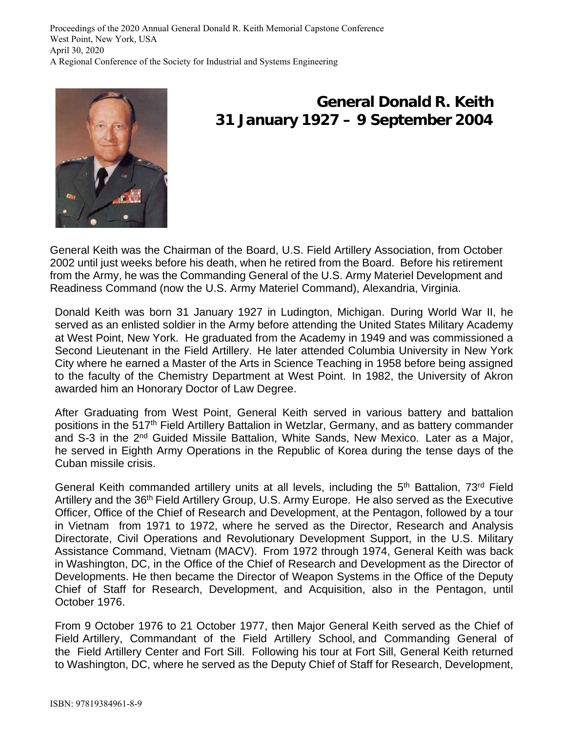

## **General Donald R. Keith 31 January 1927 – 9 September 2004**

General Keith was the Chairman of the Board, U.S. Field Artillery Association, from October 2002 until just weeks before his death, when he retired from the Board. Before his retirement from the Army, he was the Commanding General of the U.S. Army Materiel Development and Readiness Command (now the U.S. Army Materiel Command), Alexandria, Virginia.

Donald Keith was born 31 January 1927 in Ludington, Michigan. During World War II, he served as an enlisted soldier in the Army before attending the United States Military Academy at West Point, New York. He graduated from the Academy in 1949 and was commissioned a Second Lieutenant in the Field Artillery. He later attended Columbia University in New York City where he earned a Master of the Arts in Science Teaching in 1958 before being assigned to the faculty of the Chemistry Department at West Point. In 1982, the University of Akron awarded him an Honorary Doctor of Law Degree.

After Graduating from West Point, General Keith served in various battery and battalion positions in the 517<sup>th</sup> Field Artillery Battalion in Wetzlar, Germany, and as battery commander and S-3 in the 2<sup>nd</sup> Guided Missile Battalion, White Sands, New Mexico. Later as a Major, he served in Eighth Army Operations in the Republic of Korea during the tense days of the Cuban missile crisis.

General Keith commanded artillery units at all levels, including the 5<sup>th</sup> Battalion, 73<sup>rd</sup> Field Artillery and the 36th Field Artillery Group, U.S. Army Europe. He also served as the Executive Officer, Office of the Chief of Research and Development, at the Pentagon, followed by a tour in Vietnam from 1971 to 1972, where he served as the Director, Research and Analysis Directorate, Civil Operations and Revolutionary Development Support, in the U.S. Military Assistance Command, Vietnam (MACV). From 1972 through 1974, General Keith was back in Washington, DC, in the Office of the Chief of Research and Development as the Director of Developments. He then became the Director of Weapon Systems in the Office of the Deputy Chief of Staff for Research, Development, and Acquisition, also in the Pentagon, until October 1976.

From 9 October 1976 to 21 October 1977, then Major General Keith served as the Chief of Field Artillery, Commandant of the Field Artillery School, and Commanding General of the Field Artillery Center and Fort Sill. Following his tour at Fort Sill, General Keith returned to Washington, DC, where he served as the Deputy Chief of Staff for Research, Development,